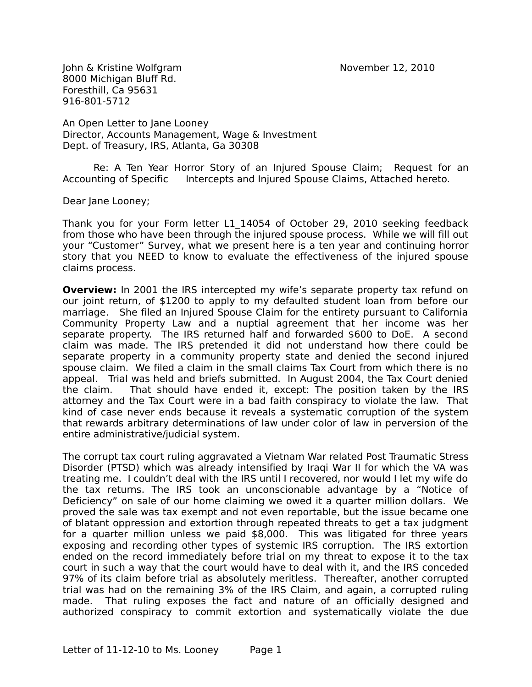John & Kristine Wolfgram November 12, 2010 8000 Michigan Bluff Rd. Foresthill, Ca 95631 916-801-5712

An Open Letter to Jane Looney Director, Accounts Management, Wage & Investment Dept. of Treasury, IRS, Atlanta, Ga 30308

Re: A Ten Year Horror Story of an Injured Spouse Claim; Request for an Accounting of Specific Intercepts and Injured Spouse Claims, Attached hereto.

Dear Jane Looney;

Thank you for your Form letter L1\_14054 of October 29, 2010 seeking feedback from those who have been through the injured spouse process. While we will fill out your "Customer" Survey, what we present here is a ten year and continuing horror story that you NEED to know to evaluate the effectiveness of the injured spouse claims process.

**Overview:** In 2001 the IRS intercepted my wife's separate property tax refund on our joint return, of \$1200 to apply to my defaulted student loan from before our marriage. She filed an Injured Spouse Claim for the entirety pursuant to California Community Property Law and a nuptial agreement that her income was her separate property. The IRS returned half and forwarded \$600 to DoE. A second claim was made. The IRS pretended it did not understand how there could be separate property in a community property state and denied the second injured spouse claim. We filed a claim in the small claims Tax Court from which there is no appeal. Trial was held and briefs submitted. In August 2004, the Tax Court denied the claim. That should have ended it, except: The position taken by the IRS attorney and the Tax Court were in a bad faith conspiracy to violate the law. That kind of case never ends because it reveals a systematic corruption of the system that rewards arbitrary determinations of law under color of law in perversion of the entire administrative/judicial system.

The corrupt tax court ruling aggravated a Vietnam War related Post Traumatic Stress Disorder (PTSD) which was already intensified by Iraqi War II for which the VA was treating me. I couldn't deal with the IRS until I recovered, nor would I let my wife do the tax returns. The IRS took an unconscionable advantage by a "Notice of Deficiency" on sale of our home claiming we owed it a quarter million dollars. We proved the sale was tax exempt and not even reportable, but the issue became one of blatant oppression and extortion through repeated threats to get a tax judgment for a quarter million unless we paid \$8,000. This was litigated for three years exposing and recording other types of systemic IRS corruption. The IRS extortion ended on the record immediately before trial on my threat to expose it to the tax court in such a way that the court would have to deal with it, and the IRS conceded 97% of its claim before trial as absolutely meritless. Thereafter, another corrupted trial was had on the remaining 3% of the IRS Claim, and again, a corrupted ruling made. That ruling exposes the fact and nature of an officially designed and authorized conspiracy to commit extortion and systematically violate the due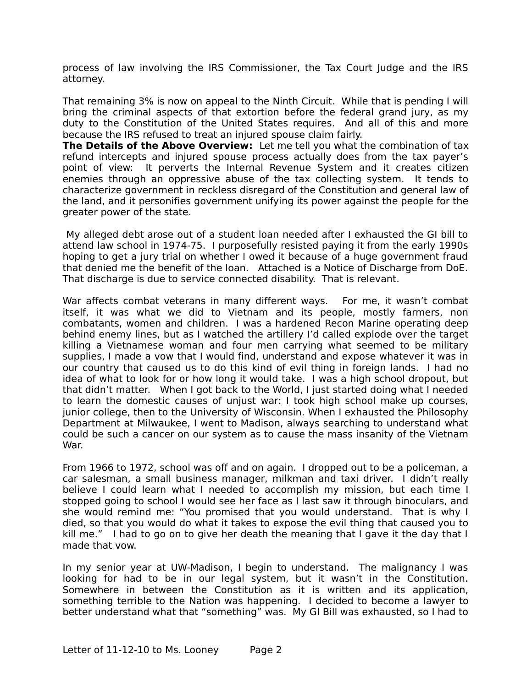process of law involving the IRS Commissioner, the Tax Court Judge and the IRS attorney.

That remaining 3% is now on appeal to the Ninth Circuit. While that is pending I will bring the criminal aspects of that extortion before the federal grand jury, as my duty to the Constitution of the United States requires. And all of this and more because the IRS refused to treat an injured spouse claim fairly.

**The Details of the Above Overview:** Let me tell you what the combination of tax refund intercepts and injured spouse process actually does from the tax payer's point of view: It perverts the Internal Revenue System and it creates citizen enemies through an oppressive abuse of the tax collecting system. It tends to characterize government in reckless disregard of the Constitution and general law of the land, and it personifies government unifying its power against the people for the greater power of the state.

 My alleged debt arose out of a student loan needed after I exhausted the GI bill to attend law school in 1974-75. I purposefully resisted paying it from the early 1990s hoping to get a jury trial on whether I owed it because of a huge government fraud that denied me the benefit of the loan. Attached is a Notice of Discharge from DoE. That discharge is due to service connected disability. That is relevant.

War affects combat veterans in many different ways. For me, it wasn't combat itself, it was what we did to Vietnam and its people, mostly farmers, non combatants, women and children. I was a hardened Recon Marine operating deep behind enemy lines, but as I watched the artillery I'd called explode over the target killing a Vietnamese woman and four men carrying what seemed to be military supplies, I made a vow that I would find, understand and expose whatever it was in our country that caused us to do this kind of evil thing in foreign lands. I had no idea of what to look for or how long it would take. I was a high school dropout, but that didn't matter. When I got back to the World, I just started doing what I needed to learn the domestic causes of unjust war: I took high school make up courses, junior college, then to the University of Wisconsin. When I exhausted the Philosophy Department at Milwaukee, I went to Madison, always searching to understand what could be such a cancer on our system as to cause the mass insanity of the Vietnam War.

From 1966 to 1972, school was off and on again. I dropped out to be a policeman, a car salesman, a small business manager, milkman and taxi driver. I didn't really believe I could learn what I needed to accomplish my mission, but each time I stopped going to school I would see her face as I last saw it through binoculars, and she would remind me: "You promised that you would understand. That is why I died, so that you would do what it takes to expose the evil thing that caused you to kill me." I had to go on to give her death the meaning that I gave it the day that I made that vow.

In my senior year at UW-Madison, I begin to understand. The malignancy I was looking for had to be in our legal system, but it wasn't in the Constitution. Somewhere in between the Constitution as it is written and its application, something terrible to the Nation was happening. I decided to become a lawyer to better understand what that "something" was. My GI Bill was exhausted, so I had to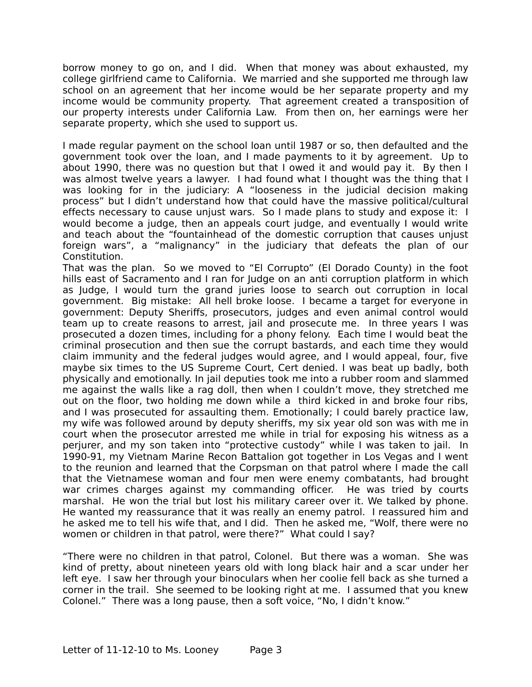borrow money to go on, and I did. When that money was about exhausted, my college girlfriend came to California. We married and she supported me through law school on an agreement that her income would be her separate property and my income would be community property. That agreement created a transposition of our property interests under California Law. From then on, her earnings were her separate property, which she used to support us.

I made regular payment on the school loan until 1987 or so, then defaulted and the government took over the loan, and I made payments to it by agreement. Up to about 1990, there was no question but that I owed it and would pay it. By then I was almost twelve years a lawyer. I had found what I thought was the thing that I was looking for in the judiciary: A "looseness in the judicial decision making process" but I didn't understand how that could have the massive political/cultural effects necessary to cause unjust wars. So I made plans to study and expose it: I would become a judge, then an appeals court judge, and eventually I would write and teach about the "fountainhead of the domestic corruption that causes unjust foreign wars", a "malignancy" in the judiciary that defeats the plan of our Constitution.

That was the plan. So we moved to "El Corrupto" (El Dorado County) in the foot hills east of Sacramento and I ran for Judge on an anti corruption platform in which as Judge, I would turn the grand juries loose to search out corruption in local government. Big mistake: All hell broke loose. I became a target for everyone in government: Deputy Sheriffs, prosecutors, judges and even animal control would team up to create reasons to arrest, jail and prosecute me. In three years I was prosecuted a dozen times, including for a phony felony. Each time I would beat the criminal prosecution and then sue the corrupt bastards, and each time they would claim immunity and the federal judges would agree, and I would appeal, four, five maybe six times to the US Supreme Court, Cert denied. I was beat up badly, both physically and emotionally. In jail deputies took me into a rubber room and slammed me against the walls like a rag doll, then when I couldn't move, they stretched me out on the floor, two holding me down while a third kicked in and broke four ribs, and I was prosecuted for assaulting them. Emotionally; I could barely practice law, my wife was followed around by deputy sheriffs, my six year old son was with me in court when the prosecutor arrested me while in trial for exposing his witness as a perjurer, and my son taken into "protective custody" while I was taken to jail. In 1990-91, my Vietnam Marine Recon Battalion got together in Los Vegas and I went to the reunion and learned that the Corpsman on that patrol where I made the call that the Vietnamese woman and four men were enemy combatants, had brought war crimes charges against my commanding officer. He was tried by courts marshal. He won the trial but lost his military career over it. We talked by phone. He wanted my reassurance that it was really an enemy patrol. I reassured him and he asked me to tell his wife that, and I did. Then he asked me, "Wolf, there were no women or children in that patrol, were there?" What could I say?

"There were no children in that patrol, Colonel. But there was a woman. She was kind of pretty, about nineteen years old with long black hair and a scar under her left eye. I saw her through your binoculars when her coolie fell back as she turned a corner in the trail. She seemed to be looking right at me. I assumed that you knew Colonel." There was a long pause, then a soft voice, "No, I didn't know."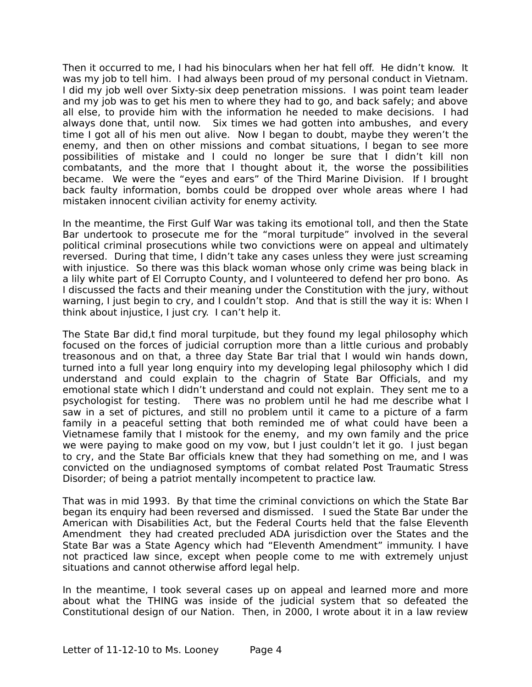Then it occurred to me, I had his binoculars when her hat fell off. He didn't know. It was my job to tell him. I had always been proud of my personal conduct in Vietnam. I did my job well over Sixty-six deep penetration missions. I was point team leader and my job was to get his men to where they had to go, and back safely; and above all else, to provide him with the information he needed to make decisions. I had always done that, until now. Six times we had gotten into ambushes, and every time I got all of his men out alive. Now I began to doubt, maybe they weren't the enemy, and then on other missions and combat situations, I began to see more possibilities of mistake and I could no longer be sure that I didn't kill non combatants, and the more that I thought about it, the worse the possibilities became. We were the "eyes and ears" of the Third Marine Division. If I brought back faulty information, bombs could be dropped over whole areas where I had mistaken innocent civilian activity for enemy activity.

In the meantime, the First Gulf War was taking its emotional toll, and then the State Bar undertook to prosecute me for the "moral turpitude" involved in the several political criminal prosecutions while two convictions were on appeal and ultimately reversed. During that time, I didn't take any cases unless they were just screaming with injustice. So there was this black woman whose only crime was being black in a lily white part of El Corrupto County, and I volunteered to defend her pro bono. As I discussed the facts and their meaning under the Constitution with the jury, without warning, I just begin to cry, and I couldn't stop. And that is still the way it is: When I think about injustice, I just cry. I can't help it.

The State Bar did,t find moral turpitude, but they found my legal philosophy which focused on the forces of judicial corruption more than a little curious and probably treasonous and on that, a three day State Bar trial that I would win hands down, turned into a full year long enquiry into my developing legal philosophy which I did understand and could explain to the chagrin of State Bar Officials, and my emotional state which I didn't understand and could not explain. They sent me to a psychologist for testing. There was no problem until he had me describe what I saw in a set of pictures, and still no problem until it came to a picture of a farm family in a peaceful setting that both reminded me of what could have been a Vietnamese family that I mistook for the enemy, and my own family and the price we were paying to make good on my vow, but I just couldn't let it go. I just began to cry, and the State Bar officials knew that they had something on me, and I was convicted on the undiagnosed symptoms of combat related Post Traumatic Stress Disorder; of being a patriot mentally incompetent to practice law.

That was in mid 1993. By that time the criminal convictions on which the State Bar began its enquiry had been reversed and dismissed. I sued the State Bar under the American with Disabilities Act, but the Federal Courts held that the false Eleventh Amendment they had created precluded ADA jurisdiction over the States and the State Bar was a State Agency which had "Eleventh Amendment" immunity. I have not practiced law since, except when people come to me with extremely unjust situations and cannot otherwise afford legal help.

In the meantime, I took several cases up on appeal and learned more and more about what the THING was inside of the judicial system that so defeated the Constitutional design of our Nation. Then, in 2000, I wrote about it in a law review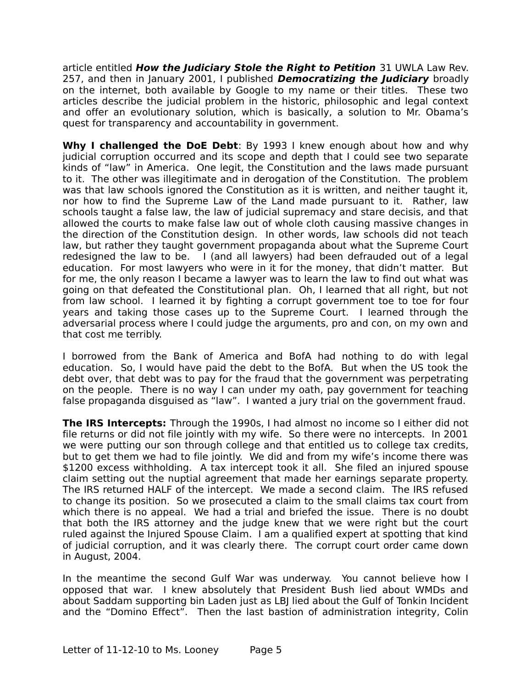article entitled **How the Judiciary Stole the Right to Petition** 31 UWLA Law Rev. 257, and then in January 2001, I published **Democratizing the Judiciary** broadly on the internet, both available by Google to my name or their titles. These two articles describe the judicial problem in the historic, philosophic and legal context and offer an evolutionary solution, which is basically, a solution to Mr. Obama's quest for transparency and accountability in government.

**Why I challenged the DoE Debt**: By 1993 I knew enough about how and why judicial corruption occurred and its scope and depth that I could see two separate kinds of "law" in America. One legit, the Constitution and the laws made pursuant to it. The other was illegitimate and in derogation of the Constitution. The problem was that law schools ignored the Constitution as it is written, and neither taught it, nor how to find the Supreme Law of the Land made pursuant to it. Rather, law schools taught a false law, the law of judicial supremacy and stare decisis, and that allowed the courts to make false law out of whole cloth causing massive changes in the direction of the Constitution design. In other words, law schools did not teach law, but rather they taught government propaganda about what the Supreme Court redesigned the law to be. I (and all lawyers) had been defrauded out of a legal education. For most lawyers who were in it for the money, that didn't matter. But for me, the only reason I became a lawyer was to learn the law to find out what was going on that defeated the Constitutional plan. Oh, I learned that all right, but not from law school. I learned it by fighting a corrupt government toe to toe for four years and taking those cases up to the Supreme Court. I learned through the adversarial process where I could judge the arguments, pro and con, on my own and that cost me terribly.

I borrowed from the Bank of America and BofA had nothing to do with legal education. So, I would have paid the debt to the BofA. But when the US took the debt over, that debt was to pay for the fraud that the government was perpetrating on the people. There is no way I can under my oath, pay government for teaching false propaganda disguised as "law". I wanted a jury trial on the government fraud.

**The IRS Intercepts:** Through the 1990s, I had almost no income so I either did not file returns or did not file jointly with my wife. So there were no intercepts. In 2001 we were putting our son through college and that entitled us to college tax credits, but to get them we had to file jointly. We did and from my wife's income there was \$1200 excess withholding. A tax intercept took it all. She filed an injured spouse claim setting out the nuptial agreement that made her earnings separate property. The IRS returned HALF of the intercept. We made a second claim. The IRS refused to change its position. So we prosecuted a claim to the small claims tax court from which there is no appeal. We had a trial and briefed the issue. There is no doubt that both the IRS attorney and the judge knew that we were right but the court ruled against the Injured Spouse Claim. I am a qualified expert at spotting that kind of judicial corruption, and it was clearly there. The corrupt court order came down in August, 2004.

In the meantime the second Gulf War was underway. You cannot believe how I opposed that war. I knew absolutely that President Bush lied about WMDs and about Saddam supporting bin Laden just as LBJ lied about the Gulf of Tonkin Incident and the "Domino Effect". Then the last bastion of administration integrity, Colin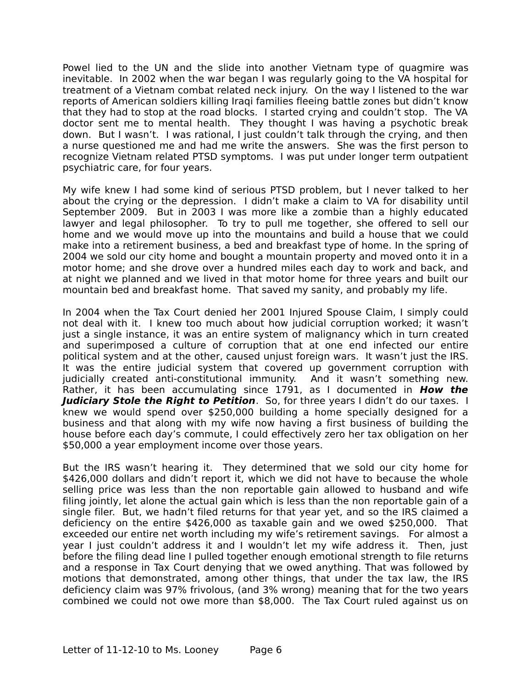Powel lied to the UN and the slide into another Vietnam type of quagmire was inevitable. In 2002 when the war began I was regularly going to the VA hospital for treatment of a Vietnam combat related neck injury. On the way I listened to the war reports of American soldiers killing Iraqi families fleeing battle zones but didn't know that they had to stop at the road blocks. I started crying and couldn't stop. The VA doctor sent me to mental health. They thought I was having a psychotic break down. But I wasn't. I was rational, I just couldn't talk through the crying, and then a nurse questioned me and had me write the answers. She was the first person to recognize Vietnam related PTSD symptoms. I was put under longer term outpatient psychiatric care, for four years.

My wife knew I had some kind of serious PTSD problem, but I never talked to her about the crying or the depression. I didn't make a claim to VA for disability until September 2009. But in 2003 I was more like a zombie than a highly educated lawyer and legal philosopher. To try to pull me together, she offered to sell our home and we would move up into the mountains and build a house that we could make into a retirement business, a bed and breakfast type of home. In the spring of 2004 we sold our city home and bought a mountain property and moved onto it in a motor home; and she drove over a hundred miles each day to work and back, and at night we planned and we lived in that motor home for three years and built our mountain bed and breakfast home. That saved my sanity, and probably my life.

In 2004 when the Tax Court denied her 2001 Injured Spouse Claim, I simply could not deal with it. I knew too much about how judicial corruption worked; it wasn't just a single instance, it was an entire system of malignancy which in turn created and superimposed a culture of corruption that at one end infected our entire political system and at the other, caused unjust foreign wars. It wasn't just the IRS. It was the entire judicial system that covered up government corruption with judicially created anti-constitutional immunity. And it wasn't something new. Rather, it has been accumulating since 1791, as I documented in **How the Judiciary Stole the Right to Petition**. So, for three years I didn't do our taxes. I knew we would spend over \$250,000 building a home specially designed for a business and that along with my wife now having a first business of building the house before each day's commute, I could effectively zero her tax obligation on her \$50,000 a year employment income over those years.

But the IRS wasn't hearing it. They determined that we sold our city home for \$426,000 dollars and didn't report it, which we did not have to because the whole selling price was less than the non reportable gain allowed to husband and wife filing jointly, let alone the actual gain which is less than the non reportable gain of a single filer. But, we hadn't filed returns for that year yet, and so the IRS claimed a deficiency on the entire \$426,000 as taxable gain and we owed \$250,000. That exceeded our entire net worth including my wife's retirement savings. For almost a year I just couldn't address it and I wouldn't let my wife address it. Then, just before the filing dead line I pulled together enough emotional strength to file returns and a response in Tax Court denying that we owed anything. That was followed by motions that demonstrated, among other things, that under the tax law, the IRS deficiency claim was 97% frivolous, (and 3% wrong) meaning that for the two years combined we could not owe more than \$8,000. The Tax Court ruled against us on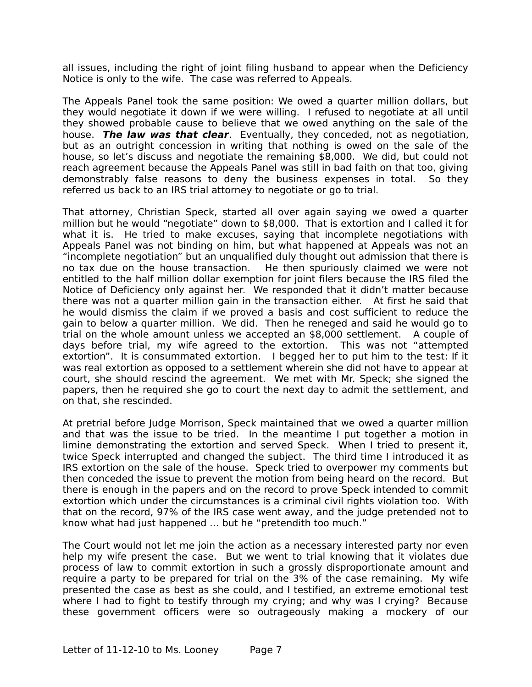all issues, including the right of joint filing husband to appear when the Deficiency Notice is only to the wife. The case was referred to Appeals.

The Appeals Panel took the same position: We owed a quarter million dollars, but they would negotiate it down if we were willing. I refused to negotiate at all until they showed probable cause to believe that we owed anything on the sale of the house. **The law was that clear**. Eventually, they conceded, not as negotiation, but as an outright concession in writing that nothing is owed on the sale of the house, so let's discuss and negotiate the remaining \$8,000. We did, but could not reach agreement because the Appeals Panel was still in bad faith on that too, giving demonstrably false reasons to deny the business expenses in total. So they referred us back to an IRS trial attorney to negotiate or go to trial.

That attorney, Christian Speck, started all over again saying we owed a quarter million but he would "negotiate" down to \$8,000. That is extortion and I called it for what it is. He tried to make excuses, saying that incomplete negotiations with Appeals Panel was not binding on him, but what happened at Appeals was not an "incomplete negotiation" but an unqualified duly thought out admission that there is no tax due on the house transaction. He then spuriously claimed we were not entitled to the half million dollar exemption for joint filers because the IRS filed the Notice of Deficiency only against her. We responded that it didn't matter because there was not a quarter million gain in the transaction either. At first he said that he would dismiss the claim if we proved a basis and cost sufficient to reduce the gain to below a quarter million. We did. Then he reneged and said he would go to trial on the whole amount unless we accepted an \$8,000 settlement. A couple of days before trial, my wife agreed to the extortion. This was not "attempted extortion". It is consummated extortion. I begged her to put him to the test: If it was real extortion as opposed to a settlement wherein she did not have to appear at court, she should rescind the agreement. We met with Mr. Speck; she signed the papers, then he required she go to court the next day to admit the settlement, and on that, she rescinded.

At pretrial before Judge Morrison, Speck maintained that we owed a quarter million and that was the issue to be tried. In the meantime I put together a motion in limine demonstrating the extortion and served Speck. When I tried to present it, twice Speck interrupted and changed the subject. The third time I introduced it as IRS extortion on the sale of the house. Speck tried to overpower my comments but then conceded the issue to prevent the motion from being heard on the record. But there is enough in the papers and on the record to prove Speck intended to commit extortion which under the circumstances is a criminal civil rights violation too. With that on the record, 97% of the IRS case went away, and the judge pretended not to know what had just happened … but he "pretendith too much."

The Court would not let me join the action as a necessary interested party nor even help my wife present the case. But we went to trial knowing that it violates due process of law to commit extortion in such a grossly disproportionate amount and require a party to be prepared for trial on the 3% of the case remaining. My wife presented the case as best as she could, and I testified, an extreme emotional test where I had to fight to testify through my crying; and why was I crying? Because these government officers were so outrageously making a mockery of our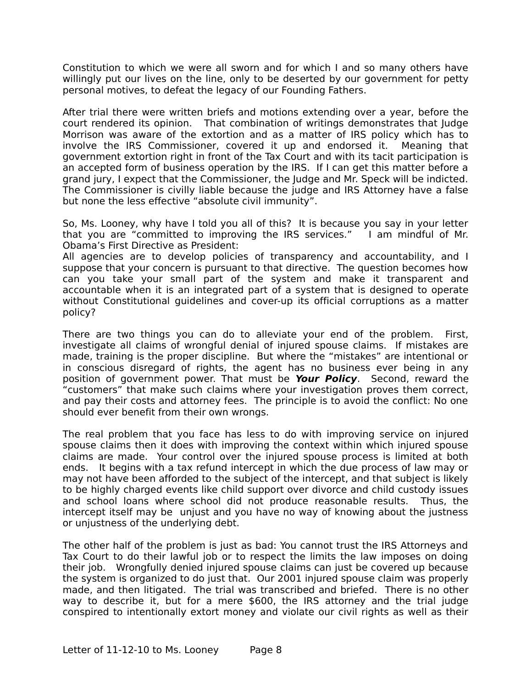Constitution to which we were all sworn and for which I and so many others have willingly put our lives on the line, only to be deserted by our government for petty personal motives, to defeat the legacy of our Founding Fathers.

After trial there were written briefs and motions extending over a year, before the court rendered its opinion. That combination of writings demonstrates that Judge Morrison was aware of the extortion and as a matter of IRS policy which has to involve the IRS Commissioner, covered it up and endorsed it. Meaning that government extortion right in front of the Tax Court and with its tacit participation is an accepted form of business operation by the IRS. If I can get this matter before a grand jury, I expect that the Commissioner, the Judge and Mr. Speck will be indicted. The Commissioner is civilly liable because the judge and IRS Attorney have a false but none the less effective "absolute civil immunity".

So, Ms. Looney, why have I told you all of this? It is because you say in your letter that you are "committed to improving the IRS services." I am mindful of Mr. Obama's First Directive as President:

All agencies are to develop policies of transparency and accountability, and I suppose that your concern is pursuant to that directive. The question becomes how can you take your small part of the system and make it transparent and accountable when it is an integrated part of a system that is designed to operate without Constitutional guidelines and cover-up its official corruptions as a matter policy?

There are two things you can do to alleviate your end of the problem. First, investigate all claims of wrongful denial of injured spouse claims. If mistakes are made, training is the proper discipline. But where the "mistakes" are intentional or in conscious disregard of rights, the agent has no business ever being in any position of government power. That must be **Your Policy**. Second, reward the "customers" that make such claims where your investigation proves them correct, and pay their costs and attorney fees. The principle is to avoid the conflict: No one should ever benefit from their own wrongs.

The real problem that you face has less to do with improving service on injured spouse claims then it does with improving the context within which injured spouse claims are made. Your control over the injured spouse process is limited at both ends. It begins with a tax refund intercept in which the due process of law may or may not have been afforded to the subject of the intercept, and that subject is likely to be highly charged events like child support over divorce and child custody issues and school loans where school did not produce reasonable results. Thus, the intercept itself may be unjust and you have no way of knowing about the justness or unjustness of the underlying debt.

The other half of the problem is just as bad: You cannot trust the IRS Attorneys and Tax Court to do their lawful job or to respect the limits the law imposes on doing their job. Wrongfully denied injured spouse claims can just be covered up because the system is organized to do just that. Our 2001 injured spouse claim was properly made, and then litigated. The trial was transcribed and briefed. There is no other way to describe it, but for a mere \$600, the IRS attorney and the trial judge conspired to intentionally extort money and violate our civil rights as well as their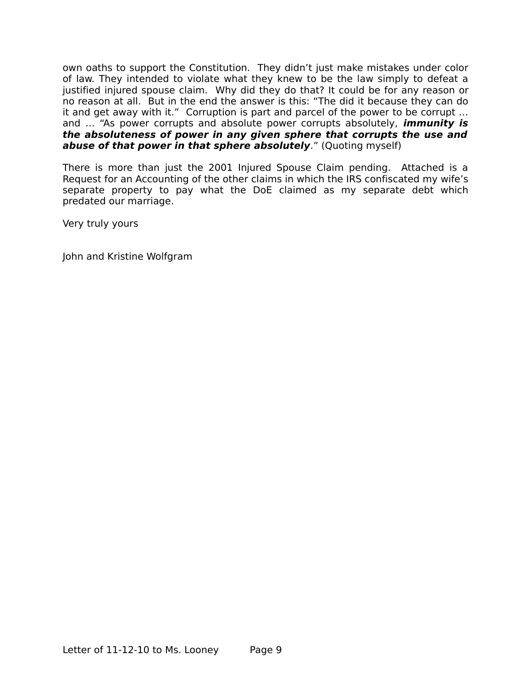own oaths to support the Constitution. They didn't just make mistakes under color of law. They intended to violate what they knew to be the law simply to defeat a justified injured spouse claim. Why did they do that? It could be for any reason or no reason at all. But in the end the answer is this: "The did it because they can do it and get away with it." Corruption is part and parcel of the power to be corrupt … and … "As power corrupts and absolute power corrupts absolutely, **immunity is the absoluteness of power in any given sphere that corrupts the use and abuse of that power in that sphere absolutely**." (Quoting myself)

There is more than just the 2001 Injured Spouse Claim pending. Attached is a Request for an Accounting of the other claims in which the IRS confiscated my wife's separate property to pay what the DoE claimed as my separate debt which predated our marriage.

Very truly yours

John and Kristine Wolfgram